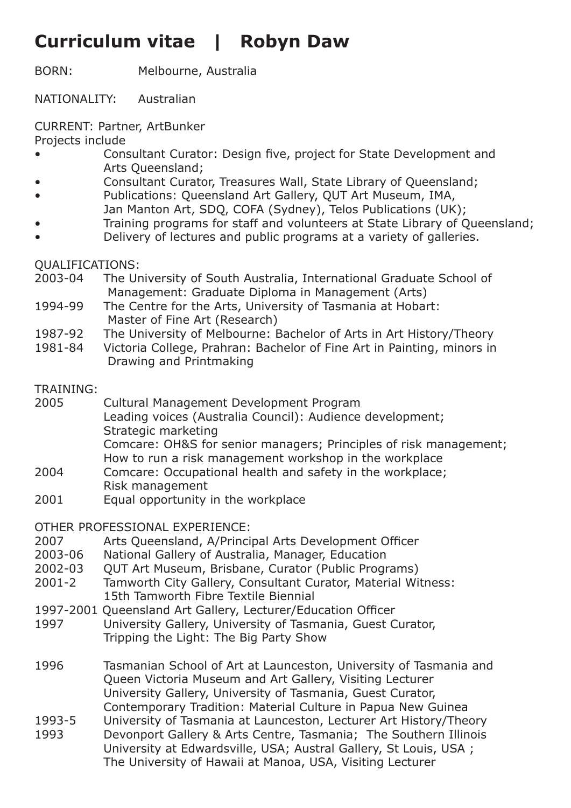## **Curriculum vitae | Robyn Daw**

BORN: Melbourne, Australia

NATIONALITY: Australian

CURRENT: Partner, ArtBunker

Projects include

- Consultant Curator: Design five, project for State Development and Arts Queensland;
- Consultant Curator, Treasures Wall, State Library of Queensland;
- Publications: Queensland Art Gallery, QUT Art Museum, IMA,
- Jan Manton Art, SDQ, COFA (Sydney), Telos Publications (UK);
- Training programs for staff and volunteers at State Library of Queensland;
- Delivery of lectures and public programs at a variety of galleries.

QUALIFICATIONS:

- 2003-04 The University of South Australia, International Graduate School of Management: Graduate Diploma in Management (Arts)
- 1994-99 The Centre for the Arts, University of Tasmania at Hobart: Master of Fine Art (Research)
- 1987-92 The University of Melbourne: Bachelor of Arts in Art History/Theory
- 1981-84 Victoria College, Prahran: Bachelor of Fine Art in Painting, minors in Drawing and Printmaking

## TRAINING:

- 2005 Cultural Management Development Program Leading voices (Australia Council): Audience development; Strategic marketing Comcare: OH&S for senior managers; Principles of risk management; How to run a risk management workshop in the workplace
- 2004 Comcare: Occupational health and safety in the workplace; Risk management
- 2001 Equal opportunity in the workplace

OTHER PROFESSIONAL EXPERIENCE:

- 2007 Arts Queensland, A/Principal Arts Development Officer
- 2003-06 National Gallery of Australia, Manager, Education
- 2002-03 QUT Art Museum, Brisbane, Curator (Public Programs)
- 2001-2 Tamworth City Gallery, Consultant Curator, Material Witness: 15th Tamworth Fibre Textile Biennial
- 1997-2001 Queensland Art Gallery, Lecturer/Education Officer
- 1997 University Gallery, University of Tasmania, Guest Curator, Tripping the Light: The Big Party Show
- 1996 Tasmanian School of Art at Launceston, University of Tasmania and Queen Victoria Museum and Art Gallery, Visiting Lecturer University Gallery, University of Tasmania, Guest Curator, Contemporary Tradition: Material Culture in Papua New Guinea
- 1993-5 University of Tasmania at Launceston, Lecturer Art History/Theory
- 1993 Devonport Gallery & Arts Centre, Tasmania; The Southern Illinois University at Edwardsville, USA; Austral Gallery, St Louis, USA ; The University of Hawaii at Manoa, USA, Visiting Lecturer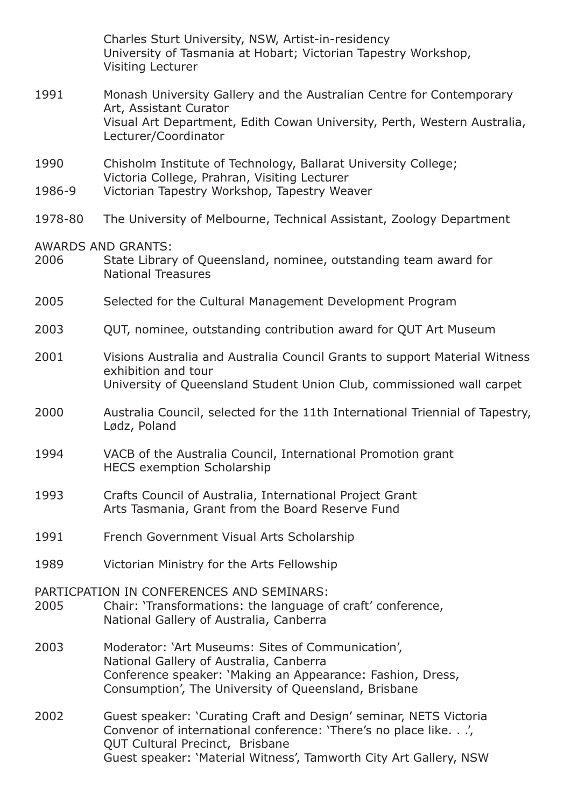Charles Sturt University, NSW, Artist-in-residency University of Tasmania at Hobart; Victorian Tapestry Workshop, Visiting Lecturer

- 1991 Monash University Gallery and the Australian Centre for Contemporary Art, Assistant Curator Visual Art Department, Edith Cowan University, Perth, Western Australia, Lecturer/Coordinator
- 1990 Chisholm Institute of Technology, Ballarat University College; Victoria College, Prahran, Visiting Lecturer
- 1986-9 Victorian Tapestry Workshop, Tapestry Weaver
- 1978-80 The University of Melbourne, Technical Assistant, Zoology Department

AWARDS AND GRANTS:

- 2006 State Library of Queensland, nominee, outstanding team award for National Treasures
- 2005 Selected for the Cultural Management Development Program
- 2003 QUT, nominee, outstanding contribution award for QUT Art Museum
- 2001 Visions Australia and Australia Council Grants to support Material Witness exhibition and tour University of Queensland Student Union Club, commissioned wall carpet
- 2000 Australia Council, selected for the 11th International Triennial of Tapestry, Lødz, Poland
- 1994 VACB of the Australia Council, International Promotion grant HECS exemption Scholarship
- 1993 Crafts Council of Australia, International Project Grant Arts Tasmania, Grant from the Board Reserve Fund
- 1991 French Government Visual Arts Scholarship
- 1989 Victorian Ministry for the Arts Fellowship

PARTICPATION IN CONFERENCES AND SEMINARS:

- 2005 Chair: 'Transformations: the language of craft' conference, National Gallery of Australia, Canberra
- 2003 Moderator: 'Art Museums: Sites of Communication', National Gallery of Australia, Canberra Conference speaker: 'Making an Appearance: Fashion, Dress, Consumption', The University of Queensland, Brisbane
- 2002 Guest speaker: 'Curating Craft and Design' seminar, NETS Victoria Convenor of international conference: 'There's no place like. . .', QUT Cultural Precinct, Brisbane Guest speaker: 'Material Witness', Tamworth City Art Gallery, NSW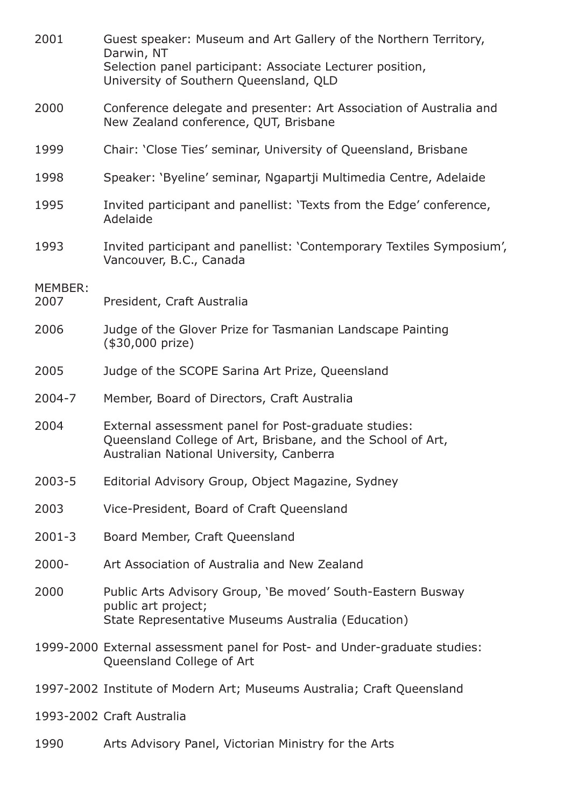| 2001            | Guest speaker: Museum and Art Gallery of the Northern Territory,<br>Darwin, NT<br>Selection panel participant: Associate Lecturer position,<br>University of Southern Queensland, QLD |
|-----------------|---------------------------------------------------------------------------------------------------------------------------------------------------------------------------------------|
| 2000            | Conference delegate and presenter: Art Association of Australia and<br>New Zealand conference, QUT, Brisbane                                                                          |
| 1999            | Chair: 'Close Ties' seminar, University of Queensland, Brisbane                                                                                                                       |
| 1998            | Speaker: 'Byeline' seminar, Ngapartji Multimedia Centre, Adelaide                                                                                                                     |
| 1995            | Invited participant and panellist: 'Texts from the Edge' conference,<br>Adelaide                                                                                                      |
| 1993            | Invited participant and panellist: 'Contemporary Textiles Symposium',<br>Vancouver, B.C., Canada                                                                                      |
| MEMBER:<br>2007 | President, Craft Australia                                                                                                                                                            |
| 2006            | Judge of the Glover Prize for Tasmanian Landscape Painting<br>(\$30,000 prize)                                                                                                        |
| 2005            | Judge of the SCOPE Sarina Art Prize, Queensland                                                                                                                                       |
| $2004 - 7$      | Member, Board of Directors, Craft Australia                                                                                                                                           |
| 2004            | External assessment panel for Post-graduate studies:<br>Queensland College of Art, Brisbane, and the School of Art,<br>Australian National University, Canberra                       |
| $2003 - 5$      | Editorial Advisory Group, Object Magazine, Sydney                                                                                                                                     |
| 2003            | Vice-President, Board of Craft Queensland                                                                                                                                             |
| $2001 - 3$      | Board Member, Craft Queensland                                                                                                                                                        |
| $2000 -$        | Art Association of Australia and New Zealand                                                                                                                                          |
| 2000            | Public Arts Advisory Group, 'Be moved' South-Eastern Busway<br>public art project;<br>State Representative Museums Australia (Education)                                              |
|                 | 1999-2000 External assessment panel for Post- and Under-graduate studies:<br>Queensland College of Art                                                                                |
|                 | 1997-2002 Institute of Modern Art; Museums Australia; Craft Queensland                                                                                                                |
|                 | 1993-2002 Craft Australia                                                                                                                                                             |
| 1990            | Arts Advisory Panel, Victorian Ministry for the Arts                                                                                                                                  |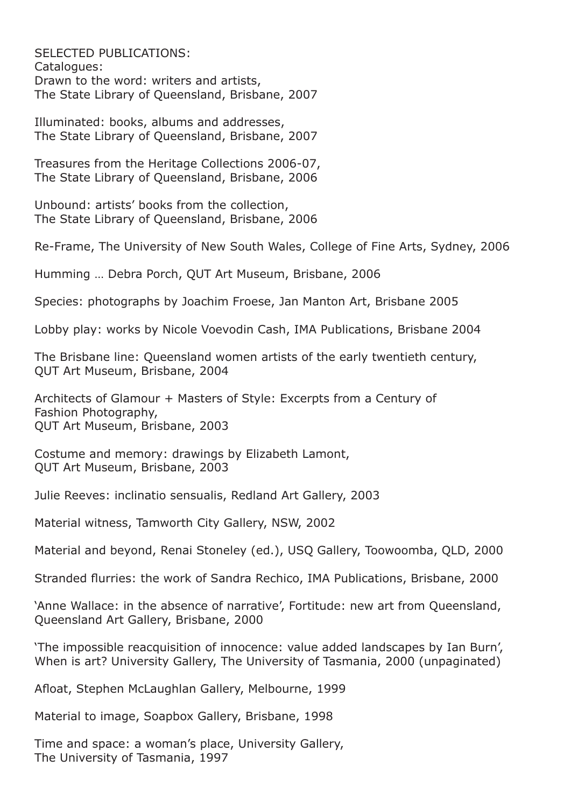SELECTED PUBLICATIONS: Catalogues: Drawn to the word: writers and artists, The State Library of Queensland, Brisbane, 2007

Illuminated: books, albums and addresses, The State Library of Queensland, Brisbane, 2007

Treasures from the Heritage Collections 2006-07, The State Library of Queensland, Brisbane, 2006

Unbound: artists' books from the collection, The State Library of Queensland, Brisbane, 2006

Re-Frame, The University of New South Wales, College of Fine Arts, Sydney, 2006

Humming … Debra Porch, QUT Art Museum, Brisbane, 2006

Species: photographs by Joachim Froese, Jan Manton Art, Brisbane 2005

Lobby play: works by Nicole Voevodin Cash, IMA Publications, Brisbane 2004

The Brisbane line: Queensland women artists of the early twentieth century, QUT Art Museum, Brisbane, 2004

Architects of Glamour + Masters of Style: Excerpts from a Century of Fashion Photography, QUT Art Museum, Brisbane, 2003

Costume and memory: drawings by Elizabeth Lamont, QUT Art Museum, Brisbane, 2003

Julie Reeves: inclinatio sensualis, Redland Art Gallery, 2003

Material witness, Tamworth City Gallery, NSW, 2002

Material and beyond, Renai Stoneley (ed.), USQ Gallery, Toowoomba, QLD, 2000

Stranded flurries: the work of Sandra Rechico, IMA Publications, Brisbane, 2000

'Anne Wallace: in the absence of narrative', Fortitude: new art from Queensland, Queensland Art Gallery, Brisbane, 2000

'The impossible reacquisition of innocence: value added landscapes by Ian Burn', When is art? University Gallery, The University of Tasmania, 2000 (unpaginated)

Afloat, Stephen McLaughlan Gallery, Melbourne, 1999

Material to image, Soapbox Gallery, Brisbane, 1998

Time and space: a woman's place, University Gallery, The University of Tasmania, 1997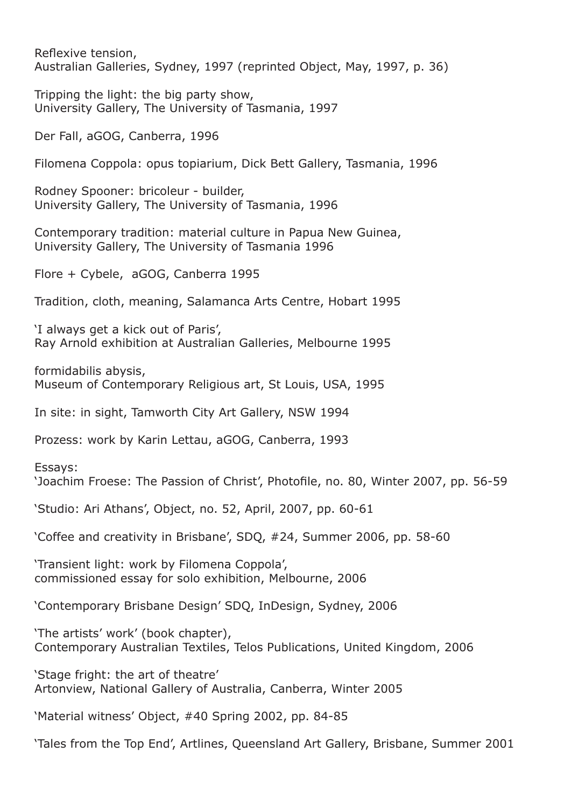Reflexive tension, Australian Galleries, Sydney, 1997 (reprinted Object, May, 1997, p. 36)

Tripping the light: the big party show, University Gallery, The University of Tasmania, 1997

Der Fall, aGOG, Canberra, 1996

Filomena Coppola: opus topiarium, Dick Bett Gallery, Tasmania, 1996

Rodney Spooner: bricoleur - builder, University Gallery, The University of Tasmania, 1996

Contemporary tradition: material culture in Papua New Guinea, University Gallery, The University of Tasmania 1996

Flore + Cybele, aGOG, Canberra 1995

Tradition, cloth, meaning, Salamanca Arts Centre, Hobart 1995

'I always get a kick out of Paris', Ray Arnold exhibition at Australian Galleries, Melbourne 1995

formidabilis abysis, Museum of Contemporary Religious art, St Louis, USA, 1995

In site: in sight, Tamworth City Art Gallery, NSW 1994

Prozess: work by Karin Lettau, aGOG, Canberra, 1993

Essays:

'Joachim Froese: The Passion of Christ', Photofile, no. 80, Winter 2007, pp. 56-59

'Studio: Ari Athans', Object, no. 52, April, 2007, pp. 60-61

'Coffee and creativity in Brisbane', SDQ, #24, Summer 2006, pp. 58-60

'Transient light: work by Filomena Coppola', commissioned essay for solo exhibition, Melbourne, 2006

'Contemporary Brisbane Design' SDQ, InDesign, Sydney, 2006

'The artists' work' (book chapter), Contemporary Australian Textiles, Telos Publications, United Kingdom, 2006

'Stage fright: the art of theatre' Artonview, National Gallery of Australia, Canberra, Winter 2005

'Material witness' Object, #40 Spring 2002, pp. 84-85

'Tales from the Top End', Artlines, Queensland Art Gallery, Brisbane, Summer 2001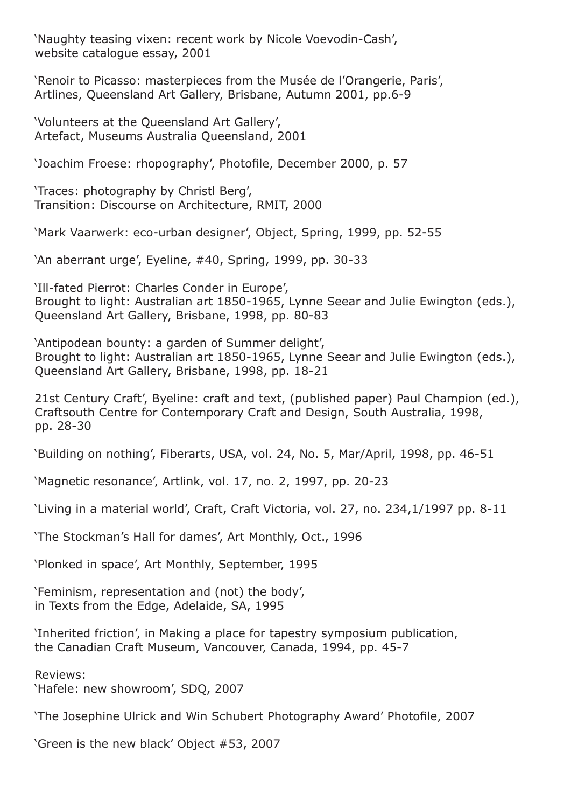'Naughty teasing vixen: recent work by Nicole Voevodin-Cash', website catalogue essay, 2001

'Renoir to Picasso: masterpieces from the Musée de l'Orangerie, Paris', Artlines, Queensland Art Gallery, Brisbane, Autumn 2001, pp.6-9

'Volunteers at the Queensland Art Gallery', Artefact, Museums Australia Queensland, 2001

'Joachim Froese: rhopography', Photofile, December 2000, p. 57

'Traces: photography by Christl Berg', Transition: Discourse on Architecture, RMIT, 2000

'Mark Vaarwerk: eco-urban designer', Object, Spring, 1999, pp. 52-55

'An aberrant urge', Eyeline, #40, Spring, 1999, pp. 30-33

'Ill-fated Pierrot: Charles Conder in Europe', Brought to light: Australian art 1850-1965, Lynne Seear and Julie Ewington (eds.), Queensland Art Gallery, Brisbane, 1998, pp. 80-83

'Antipodean bounty: a garden of Summer delight', Brought to light: Australian art 1850-1965, Lynne Seear and Julie Ewington (eds.), Queensland Art Gallery, Brisbane, 1998, pp. 18-21

21st Century Craft', Byeline: craft and text, (published paper) Paul Champion (ed.), Craftsouth Centre for Contemporary Craft and Design, South Australia, 1998, pp. 28-30

'Building on nothing', Fiberarts, USA, vol. 24, No. 5, Mar/April, 1998, pp. 46-51

'Magnetic resonance', Artlink, vol. 17, no. 2, 1997, pp. 20-23

'Living in a material world', Craft, Craft Victoria, vol. 27, no. 234,1/1997 pp. 8-11

'The Stockman's Hall for dames', Art Monthly, Oct., 1996

'Plonked in space', Art Monthly, September, 1995

'Feminism, representation and (not) the body', in Texts from the Edge, Adelaide, SA, 1995

'Inherited friction', in Making a place for tapestry symposium publication, the Canadian Craft Museum, Vancouver, Canada, 1994, pp. 45-7

Reviews: 'Hafele: new showroom', SDQ, 2007

'The Josephine Ulrick and Win Schubert Photography Award' Photofile, 2007

'Green is the new black' Object #53, 2007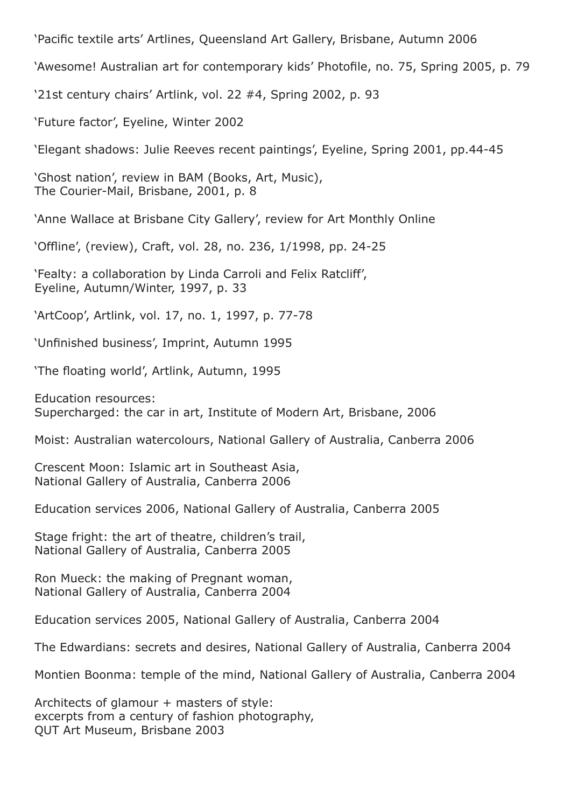'Pacific textile arts' Artlines, Queensland Art Gallery, Brisbane, Autumn 2006

'Awesome! Australian art for contemporary kids' Photofile, no. 75, Spring 2005, p. 79

'21st century chairs' Artlink, vol. 22 #4, Spring 2002, p. 93

'Future factor', Eyeline, Winter 2002

'Elegant shadows: Julie Reeves recent paintings', Eyeline, Spring 2001, pp.44-45

'Ghost nation', review in BAM (Books, Art, Music), The Courier-Mail, Brisbane, 2001, p. 8

'Anne Wallace at Brisbane City Gallery', review for Art Monthly Online

'Offline', (review), Craft, vol. 28, no. 236, 1/1998, pp. 24-25

'Fealty: a collaboration by Linda Carroli and Felix Ratcliff', Eyeline, Autumn/Winter, 1997, p. 33

'ArtCoop', Artlink, vol. 17, no. 1, 1997, p. 77-78

'Unfinished business', Imprint, Autumn 1995

'The floating world', Artlink, Autumn, 1995

Education resources: Supercharged: the car in art, Institute of Modern Art, Brisbane, 2006

Moist: Australian watercolours, National Gallery of Australia, Canberra 2006

Crescent Moon: Islamic art in Southeast Asia, National Gallery of Australia, Canberra 2006

Education services 2006, National Gallery of Australia, Canberra 2005

Stage fright: the art of theatre, children's trail, National Gallery of Australia, Canberra 2005

Ron Mueck: the making of Pregnant woman, National Gallery of Australia, Canberra 2004

Education services 2005, National Gallery of Australia, Canberra 2004

The Edwardians: secrets and desires, National Gallery of Australia, Canberra 2004

Montien Boonma: temple of the mind, National Gallery of Australia, Canberra 2004

Architects of glamour + masters of style: excerpts from a century of fashion photography, QUT Art Museum, Brisbane 2003